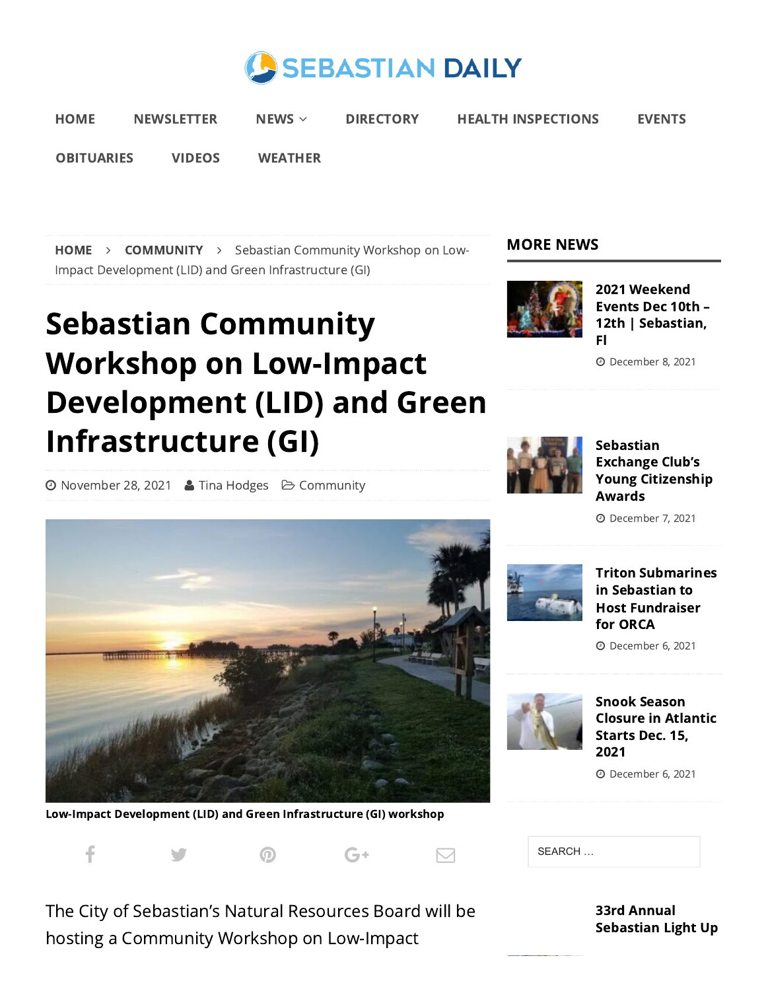



[OBITUARIES](https://www.sebastiandaily.com/obituaries/) [VIDEOS](https://www.sebastiandaily.com/videos/) [WEATHER](https://www.sebastiandaily.com/weather/)

[HOME](https://www.sebastiandaily.com/) > [COMMUNITY](https://www.sebastiandaily.com/news/community/) > Sebastian Community Workshop on Low-Impact Development (LID) and Green Infrastructure (GI)

#### MORE NEWS



2021 Weekend Events Dec 10th – 12th | [Sebastian,](https://www.sebastiandaily.com/events/2021-weekend-events-dec-10th-12th-sebastian-fl-31802/) Fl

December 8, 2021

# Sebastian Community Workshop on Low-Impact Development (LID) and Green Infrastructure (GI)

**⊙** [November](https://www.sebastiandaily.com/date/2021/11/) 28, 2021 & Tina [Hodges](https://www.sebastiandaily.com/author/tinahodges/) → Community



Sebastian Exchange Club's Young [Citizenship](https://www.sebastiandaily.com/community/sebastian-exchange-clubs-young-citizenship-awards-31796/) Awards

December 7, 2021



Low-Impact Development (LID) and Green Infrastructure (GI) workshop



The City of Sebastian's Natural Resources Board will be hosting a Community Workshop on Low-Impact

#### Triton [Submarines](https://www.sebastiandaily.com/business/triton-submarines-in-sebastian-to-host-fundraiser-for-orca-31791/) in Sebastian to Host Fundraiser for ORCA

December 6, 2021



Snook Season Closure in [Atlantic](https://www.sebastiandaily.com/inlet/snook-season-closure-in-atlantic-starts-dec-15-2021-31788/) Starts Dec. 15, 2021

December 6, 2021

| SEARCH |
|--------|
|--------|

33rd Annual [Sebastian](https://www.sebastiandaily.com/community/33rd-annual-sebastian-light-up-night-dec-3rd-map-inside-31763/) Light Up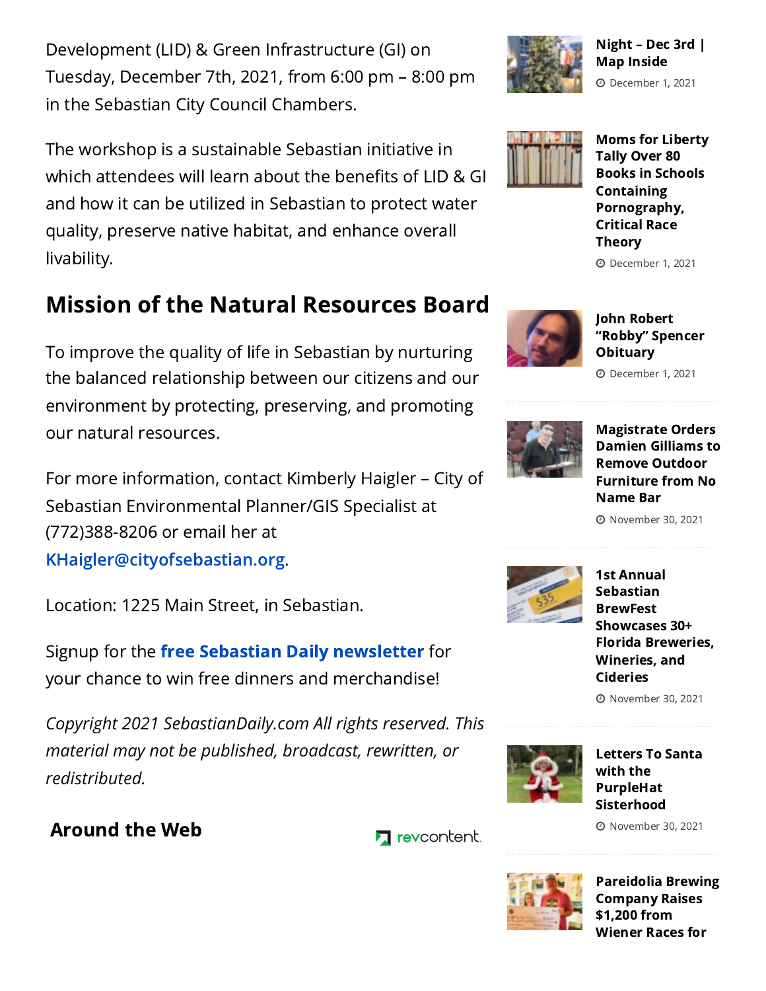Development (LID) & Green Infrastructure (GI) on Tuesday, December 7th, 2021, from 6:00 pm – 8:00 pm in the Sebastian City Council Chambers.

The workshop is a sustainable Sebastian initiative in which attendees will learn about the benefits of LID & GI and how it can be utilized in Sebastian to protect water quality, preserve native habitat, and enhance overall livability.

## Mission of the Natural Resources Board

To improve the quality of life in Sebastian by nurturing the balanced relationship between our citizens and our environment by protecting, preserving, and promoting our natural resources.

For more information, contact Kimberly Haigler – City of Sebastian Environmental Planner/GIS Specialist at (772)388-8206 or email her at [KHaigler@cityofsebastian.org.](mailto:KHaigler@cityofsebastian.org)

Location: 1225 Main Street, in Sebastian.

Signup for the free Sebastian Daily [newsletter](https://www.sebastiandaily.com/newsletter/) for your chance to win free dinners and merchandise!

*Copyright 2021 SebastianDaily.com All rights reserved. This material may not be published, broadcast, rewritten, or redistributed.*

### Around the Web

**7** revcontent.



#### Night – Dec 3rd | Map [Inside](https://www.sebastiandaily.com/community/33rd-annual-sebastian-light-up-night-dec-3rd-map-inside-31763/)

December 1, 2021



Moms for Liberty Tally Over 80 Books in Schools Containing [Pornography,](https://www.sebastiandaily.com/business/moms-for-liberty-tally-over-80-books-in-schools-containing-pornography-critical-race-theory-31760/) Critical Race **Theory** 

December 1, 2021



John Robert "Robby" Spencer **[Obituary](https://www.sebastiandaily.com/obituaries/john-robert-robby-spencer-obituary-31757/)** 

December 1, 2021



[Magistrate](https://www.sebastiandaily.com/business/magistrate-orders-damien-gilliams-to-remove-outdoor-furniture-from-no-name-bar-31750/) Orders Damien Gilliams to Remove Outdoor Furniture from No Name Bar

November 30, 2021



1st Annual Sebastian **BrewFest** [Showcases](https://www.sebastiandaily.com/community/1st-annual-brewfest-showcases-30-florida-breweries-wineries-and-cideries-31746/) 30+ Florida Breweries, Wineries, and Cideries

November 30, 2021



Letters To Santa with the PurpleHat [Sisterhood](https://www.sebastiandaily.com/community/letters-to-santa-with-the-purplehat-sisterhood-31743/)

November 30, 2021



[Pareidolia](https://www.sebastiandaily.com/community/pareidolia-brewing-company-raises-1200-from-wiener-races-for-halo-no-kill-rescue-31740/) Brewing Company Raises \$1,200 from Wiener Races for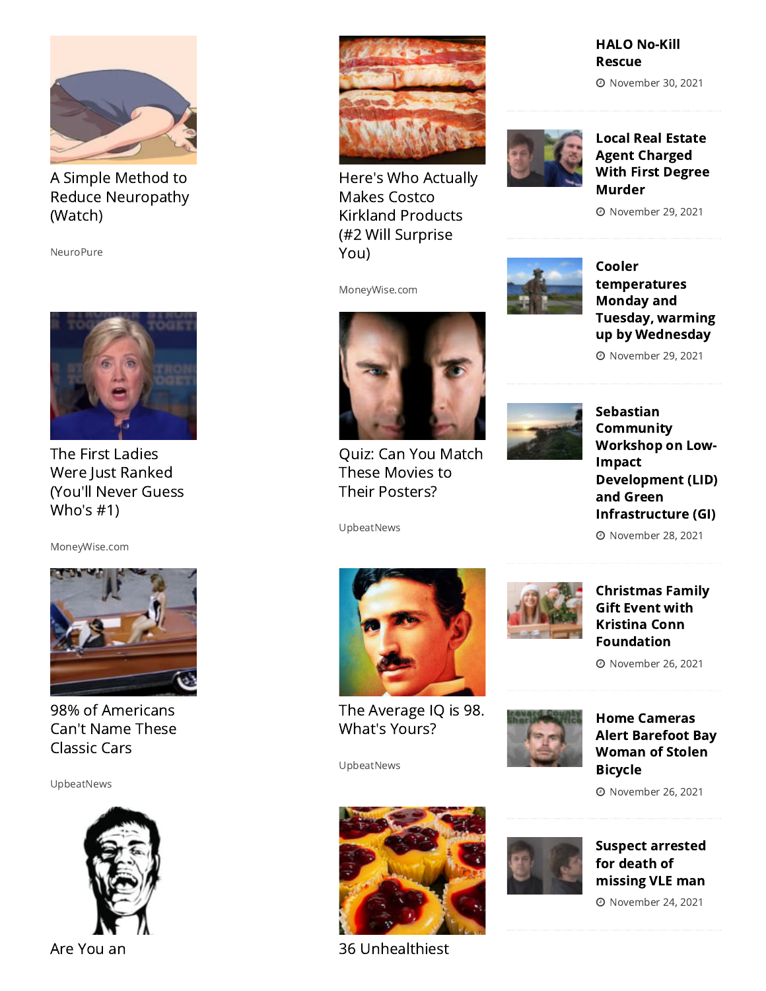

A Simple Method to Reduce [Neuropathy](https://trends.revcontent.com/click.php?d=5WorDU61FHMYrve8GFnVHzglwnpIptsBXzBYngZiifhJ69uZ5YAwA6Y7AKJhNhg%2FZgCC3oHooXn1C5cdiM5iWm2O%2F0xbMEhh29v7JjzEX3T76THVNCe%2Fz3MfCz9U72rl3Xzn7Ts3rDRBq5XCiPIIYYx3HmvHpZC5PZ%2BsyztfLPT0%2BdtwGFqYLcGujFuWYaS6GFrzSpehpzGkEkQ%2FuEGmD15j8YUo5ibN4krxS4czG0dIenq3I9%2FC5RcO9gwUBPnslnf%2BvdKTGHCbcT7HAFbk%2BT1l2vSJ30SvjaT7XLjrlRS9SwgfJzeGn9N8eE2s4RkmPtfkh6YVk7Gy1VyOzZ8D%2Fu2w9s8%2FORwIbZlKFrhpkYZBeT%2BS4weWG9v9JY9PsUKCdP8U9%2BnR4XlSWOBJzoxHppREN6LXUZd9659qC%2BV2LAkHBnZa7Wd%2BZNVAqlxYh1mtP5j43oPsvE5ONVh5b4YQ21pgiS9CU4KXlcxRAFMCgxTUq6uoFGEMWrAOHnQSKv5KnpX4sZbMn2NErpZy68bbJDymx3JKKCG45fnrEVkjvpJ57yRkd5ui1O38PAERzVpk8XEvGxyElpay%2BxkKDcY1r6Vx9TusrtqAeyFA%2B%2FvPuWoit2ST5JWTwN%2FlDiZX31bTLfowra7q93rCM%2FhX30zqO2z4kYwxqeZ1BhjC0UkuBxIZT6eC01U6gexAtYA5XffOq561KjAEBsofEYnBkhmrLRGK6vFeBnteGl8IAWBwJZzJHYH80IROkIhSp%2B7NYribnYNi85EZ82WM5xcnXNZjJB9hxJ4gvG8%2FowoTVHI55iGAl7Ys6mnrdTzCw9L54NeHfvAvG92UcAIALjMo49PQ0mhmBJQAT1SQijSyIsVBSJ72lsb33aPJ9UGGKj5Og11BfQBvb4tUP9qrZBrQcTcaegVg8Deo9sGsXnuvh41uoqBrX8d4kGviD4OzfJKdB3F3QBGa%2FrfxFCpqOHn6c6X7QV7PUiLHIp0%2B5YplLjrTv5h4hPzgpbM9GRud7rjZA8EkD67fbZXO5zW7xzPnnrF7i%2Ff9DELzrlSTF9I5%2B%2FueB4Kgzi53F6mTBXCSPDp8WSazyFf0X0%2FGd0XgxwClnkogLlDPzociE3FSARj9lFE1TpzBly5ruScG9F00y3lNVIu6245wULxDUr6vTEO1%2Bp%2FUSHGCd%2F8A5tr4rEx8cwj839CBXv9mZlaGe9g5nZ1h%2Fb%2BM5%2BfPBJu7HZw8w%2FZqqufqsYLByqLPLENOik%2Ba7NcEHockt%2F9arY4QPLxMDZns%2BRXdmpoIWd5lBz1qGe1hzeRSRdUeZqVH8sD6BA7pvQGN5nJZWml0%2F3gbFCOn9o4Hq0XJWfmkw9JfalcRPraSnPw7Hk%2FJtc0LyAe%2Bc3Ly5RbBr1dVjdca8HWVw%2BrxQ88dHQcTLtQ3w5URIjYHT6G87zFK2c6UtzKksAn9xVKwu42dW4Dj%2F80zpog%2Fp7ZHHV%2BRDaZJASuzQP4l3CPMzffHEJkclDXc0lcWdenjP22ULXGkeuqoFXiGqPc%2BilrM8%2BI0VdAMgFLiGP2Vm9ffbR8UxT8gonn4Q%2FiiWrKWcAguc0dJz3XaqjnZ7CfBYd41zNRv8K40xbkOSi5356rkex6gYT59xRc3ueCEyg8wCaOzODdpq4%2ByQYz3gprUsAx%2F9mSYLJkoOtRLD1sNSdsB9fI5J5ukgtybBVaBLu3QL5ln5hvhohY%3D&s2s=1) (Watch)

NeuroPure



The First Ladies Were Just Ranked (You'll Never Guess Who's #1)

[MoneyWise.com](https://trends.revcontent.com/click.php?d=iM8nIQU3llQ2%2By2plkaIAHMjXJvcpB7BXfYBmuoUBFS7cF00ksTOywdaesGEWdbk3ofd1Bf3xoDjGcwgbjtkfDq1rU8SNab07eZEXZVHiw2tUbX4CLoCAc5vDsDlSbVuWezmMJDKuTezuajsPhMNY%2BVnDWAYUUAy46ezEbYYkpoCFnGWQCkYZ6A7Fcd0NPgs4E1Be641aLXmSLnkFAobG7o98oLjLn%2BEdARI2Uq4trq3sDPefkWI5lB7aYO9ybGwP7s%2Fnok%2Fapsbi%2FtJok53%2F4x%2BibosJoGDbePsR6slBp5p4isojlQCfsaMUiRXuqgaS0KkbcBiP1GhXKx3843Zx7SpaqPiDnZfKYA4qEAXoTb6v4KST%2BmryIc3UdFNz5gNrq4vC5w%2BnuRe1KoHeTu56jvoZ%2B6l%2BgVSav%2FnSI6TzpU3a%2BI5vRCbOGJpx9YlV%2BLEZf5s%2Fq3Q14HkyPb24AiKOT6pwLjc%2FwwiVeKYhNUa5huAo370QET0YEEf5hMYrKsoTaEL6Pn5X9lNWya1IDi2wdX%2BzL2sQ4TJvY883qYu%2Fss6FRiENA0XmQE8%2BfIYXtI7RCbVSkxdP4YY%2FKpMiMUd0MgnmUUiPIrifgS7Df98YhCZR90azaiqwfZS%2Fx9lb%2FKKAPHXfPe%2FDYl%2Bj1nwsxl8b3n5oioJrd2csIjlzO8RLx54MNYx674XX4WJI17P0pc9TBhQpq3jvL%2BaXPowt9H4dKg1aPRm7vbW3mCAitAkzPEJqKrkjfWXsWE5FMmPritwg0MM5kVOxOjE%2BDD2g9wK6YfkexB7yfk1BdGInXAfl4zzVnku%2FVNb%2F0%2BQdTotBa8wpYKNDK%2F6FJY97Gl3Fs9Fou9718N0O2ku98eFYf0%2FskoTe66nJ7rSH4j%2FgStDLvCnRAeKnUTNs5l4VwWEIwzhBnZZf0c%2FJerPK6Qkoj9K%2FjN9XRnZY3GLCVXhKGbezthBnvr6Dfay6i6LkEFxHzgN0Kup61yGXPLY63sLnOje8V%2BcBByXZv1YX%2FrFQ9p3eyd6ImeBBq%2BvykZrtWUr85fz9hKGxtdINNphTp9wnOD9G8T7J5MkKwJ7VdbQcqFJneXsjkmrMBvt%2FgHf%2BBlOawjPbJNXqtgiKA6qB%2Bi1lUyV7zhlsm1uYLxsC4ACO%2FCGBcmRfcoTcheMCWL07AEnUrJtkAkOcGi0pQb9utbI3Kw68CP%2F9mbIQRvtGRxkYK%2BD3tvZ4XrJaraobE1ILzpn1c6M%2F5XU9%2FPwk5ieVnS8COKaFtZqYSVuYx3vELEaTsOctN%2Fej%2BPtdoe71m0P027XFJqSySL2hQKg%2FTdieCU6Zc8lrIxktKOXT7w5k9hAegK87QT2Ld55kJ75Hv%2FmOJoMkiDWNqouIB3u8HHMvuSmBQ3%2B97WsDU9KZBvdRc3ROWjeYD1duC7QxK4YmvJeC%2FB3Ushg8BficH%2FrrhSf5pK6z1ENLviNCIx3sAPYKTIEFAnDs7iXlkplkIebSENSqDUi%2FswgFRN%2B3gvXsiI3t4U9qe2OEtOB3BaPpXI3PBj24Or%2BMnBegojryYs%2FSXSFJ88aHFcZr%2Fp2XThfF5N7L5589YPBTs2a%2BBZhlpPD%2BDvlJVN2OuMwPL03d6%2FKZfZ4o84InSf47gRopdzgRztVLwmr05CdVH0%2B0%2Bu45R%2F1Ui5mD9ES22tDBx4S0SD4aTuokWqgmgBCm8TrOB%2Faotj95kG1Lol0so4%3D&s2s=1)



98% of [Americans](https://trends.revcontent.com/click.php?d=agO9ZhHcj6MZhyqyn3oZXRq%2FkDZDAU5Sxme%2FEH8ZAOVSRWEvmS7LkqUZjVSfqJi7OmU5uqvRuAlA1BHETAMVGfssDbtIFjGMBRgrYhgnYDjy4uAsFQaoaMW6tmjX3V%2ByqPWzKyFaevpGRqnsDCx7laOAa3GmDIB2jPSa%2FVBsfFQWLfyruZ75U67JjH7YpwXu5oTmOiJIZQad3J7c0%2FJcCMyCRDaWS0N5VZzcvEviKRPdtuCnbNYcloTAzm1ctgR56GsrjH7OjkXvnwRjlwE%2BiYpm6gOa61dy53G5IH8MKYu%2Bm9pGXiMUDoOaMcZR39QFcCuCcmHq%2FuDTU6sr6q0oYINTCL5lvk1zxwOw%2F3jmv6g4dzoKvuAf%2F04y7xjvPo3YiPGU8bV6ZdcyiceejZMdDZHjo%2F%2B5h2SruaoEOTA0m8uSgz8Bm1ebIHjeOGuyBaQwqqCkfJmUqlrfoJhHDL60VOMc1WqcsrtzmQvPfufEnTTAV4sjC4hczz78JQeyrfbr0jRKSZWVFESvwBTFCMVgjGqWqbWkWj3fmxdX9uUrI22FI4OXB9Pnm7u3qbHvDdGE7L40QWNW8tLleJmZU807JHiZIk8%2BPXrkKW4UXYk%2FV%2BZW%2BdR17AFDpR8EnJXGJRWYLo%2F%2BZWR1zbIYfLVvg0Wc6RzP%2FL%2BiZOrbtd4d9%2FTkYErS36j%2FKbLvNENm8zLbA1XvghNMjvw1hbIIFGSewf6ImZfP7avqoMMBOKsgziMvIp2UuRmeOUEBHeQlnuCJRQl1vblwCbMuxnICc0dGx6J5QPc%2BVpJhRGZRYPnhTvteLbxPzhapnWemciIVLfwTAippt%2B7%2Bz7Nng8ywVOsIuJgUprZqJ65BWBX7kuy4CKhXeyzFwqM%2BWMeTGB3dAmzqDo%2FBMVkMJ8%2FpnfO2S%2Bo%2Ba9Lw2tAMRnJh3n8VJV7yAuhYq4nVpiZAeJ4qSL3ALBDa6vdtaXnjNWcDfSuDuiE4qxNogiGMz8RPh3uI%2BUHheR95wr16qFE1KsJGT2xOC9gpjUGffb%2BRR3aBcMTQ7a2YFA0CIv2CUMf5rgkizeHS%2FGf8w6JFVjoqhqgFXEu0tOIlVckzmEk53K3L%2B%2BB2b9UQGLRQauaeSFJFFnZqPpggXpfPrGmp1ra3bXiHKvLB1HoFVwqKTCC3LWYbUusm84qTpEvXA1g2p6BXTDXolTps2E789ARZha1n%2BMG%2F%2Bnt8hwarkTYlz2QATDhgvK7zTKmN2jpA1PKY3vyZbzy8usp15vNeSCGeJXMb2SgEV2oJVOSGQ91lBrwkbXIZol6XTLwECTV5Pai7iSnPY79iqgtzCcbCnIDnHc8VfydHyi5EI7CkaHz%2BFmk79VFv8Cs2En2XcpFeodYWZ6CX1YPSbR6XTR31vGm63cTtjO1qRM3Qqs87%2BaZuaBTRZkSXrRt4sjLSWFTQmOHqPMBcZjvU8V%2Bf4WadeuRCupMIFJVfK8Gr7bt2FOUl8UTput67GCN0QvsVS2dLT1VLCNTMOBifkidbYMs65S6sbS%2B%2BhW8avA%2FkvXLtpTfF9OjlS%2F1mejnweK%2B3EsSAxainwlarpLoWQnw8SIvJUOk%3D) Can't Name These Classic Cars

UpbeatNews





Here's Who Actually Makes Costco Kirkland [Products](https://trends.revcontent.com/click.php?d=tDR16Q8PUkzQ7%2FAaCjfghSEiEXOuSSaytuxGJuW9P49cJartjaumNWcPCKpsv6k6U1dJ9U9Qtc0Alkwx5WhKwVsEGF4zr3W5Am5oYyHM9ZqLtWTRcZIeTVsO%2F%2BaOhLT8u%2BasSPYPfbzFBFNmo16218NGvj9H0jF5%2BRG7Aap0Zp%2Bfob5GLKCxGaMH%2FcLF%2FQ%2FTK1lYJ5pTzmIqBt2EDJifjnsOdKAPdaovBsL3ul8PoNoEbPNJW9WDyngkljF3o34ThLbt0PYW40R3dY%2Fv1H6RBiE%2FPdHnoreEqV2Po8tO28MQARWMXxiG59KdpR1%2FfGIGsqlswUcRP0NoRb3iUzTErkxk%2Bya5cfoifuxewy1UPlGWG6LHCWD2ndR85MDG8800mA%2BrgRG4m8SFoYW300saayODjmk%2BInPAi%2BSvp3eVNXJew5NtjpjFLl4vYT6CEP%2FfbXRHvxKi4z93tDowWPW6yszE1JKaV4QPMEDrn0FLrJi53mcTEBgm7sqXshZ5eEBm5BumBhjONZoq8WGsUat3d0jxK6LSNDUQC48ZTAeHW5sEM%2FIMDShc03Ddpp7wwS6E5lqs385JhEIV%2FFWTyV7Qo79RyQm%2FXVRSn8ab6KKaxaBJ3%2BU%2Bmrh6M04DtYqTu0Peybc%2F2h6eubu6kcl1uS2YPIJnfmt5VwaO6CgSLFIezhDUzdX7TuTnFZKFrUMMHPyTnCGh8QxKA%2Bj%2F8v%2BAXuBfwTU69ESBRPcYodZgI1Avjkq%2FCJi95pf95zuWv1zLgJ7M6fSXVu5UNnhzXh3P3pkIXHWLF78dSGpbO3X5orRCnPkqonwTgChtOLi7HT0r25Y9rBKZPNXvUEY0MHzl5BXRP6c2IwTnXlsa88DcdUSMyEuzulzYSgkW04JlbVPeDJx8g%2BraBDlHeDlXXwycCKszzyROHcPP6T9Ie8dFtZ2YKCUrCSCJ890hZ%2FIwWm39YtECGO0C0e%2F8sFqPxYol3VRRYCihRQ8B%2BEy4EFmv7R1ptADmjkgb%2B7xaiMyu6%2FWtxtjKbAHsDqlQGWvOE%2FQk2POqrgiqJvfgUKNxDvvYyVd83FB3tbV5KiWgZ8%2FLY7TdO7n76UhmEvzvECaznNeSMY%2BoZrTc3o4SlOX%2BFFnqEqkThwy50MjaPAY7lMPpCCfAtMrcQIQCJHRZnbyWRfaxFIG%2F4QMah7OHxqil%2B%2BHNHuFuKN8RFR2xVtNWc8qB05R4QqRGmSrfWOSt85bReSsIrk6YmZHYzzWKi55x%2B1Ick%2BP%2FdhriC9eCCOeQw6I71quE9FRmCdrGIf%2B0kSpOi%2BVHIjgmOvvFetFtbkxgb62cEK5kFg%2FiBIUYj1mr7jfFxwqsD5y6PWnZUL7XduYxwtIuZdjzitMZ%2FkukpkLQ9zoBwuWJZ1XSvLmJQSQnPebOCBRoMhFkhIDJ5gALSYYU%2F%2BvOkPruXkkXqows%2BdMWp2SdXSL7mQo%2BBf3lOlIJygYRHBTogJZxEVgchDMO7YvM%2BINlxqqgHcVIpqfDB5O%2B1ynCmdqMIGUPC5pFgTdB9TmmDqcjIdEEv0s2MyVJsNYlQbevzV2vwxKp%2FFw19L0epX2vdiceMS%2FcNO73KnjtkV%2Bm3CVO%2BPj4LRXYLcE2jLSzhCBnH%2BBWGVmMDzwETDzrCBUKS0hAtKP3oJrIN7lt%2FJbf5eH2oL1LKJGT4zpNmHNLNQ2zkJL1zYZDQeKV%2FP%2BWU76Wa7yiiD2K%2BRVNBMPxm84t3V8kLJvX&s2s=1) (#2 Will Surprise You)

MoneyWise.com



Local Real Estate Agent [Charged](https://www.sebastiandaily.com/crime/local-real-estate-agent-charged-with-first-degree-murder-31732/) With First Degree Murder

November 29, 2021



Cooler [temperatures](https://www.sebastiandaily.com/weather/cooler-temperatures-monday-and-tuesday-warming-up-by-wednesday-31727/) Monday and Tuesday, warming up by Wednesday

November 29, 2021



Quiz: Can You Match These Movies to Their [Posters?](https://trends.revcontent.com/click.php?d=bvFYtDuLrD1RXJeK4SiJ3YvlsssbM60hlKFu%2FwVYwJ2ozIRX6B57VZ5loTrWmlrefgpVquXUi%2FRqRy93C2yvySp1qkBQuL9yw13Jjx%2BfVRH8aTjIkm0fkcHkgyd9AcX5q0x5qmRoHNBSWU42BChO6CB8wUU7gFWc%2FcONEAG8vEQ7MfvmDZiwjrE181BoFijuAmVTDzwiTzxjXyRx6hm%2FgWWJYdM4D7GdUbDyH519KwbkxxbylonI3Eu4pGo3llLuyod6cIdptIOHdk%2BQnw0jTLAFKXZ6M4ZG2sZkmRY3DvsrPxpTC7oqSSCn885LgPaQRG%2FAik5t1oG3MqGYLxjm9B1R%2BizauuL5JeRKvU60tzA2%2FK2rIvm6QavnpE5HRzFTGZQQgysIPZb%2FVoEcmwv%2BSLCaKHI3xfO0X%2B5mKbKMbvJpjXhf5EBGxrkkL8vH7NieypR3WXD6sLDtFn5o%2FTsOg8AA%2BNrE6%2FvhgjV3iGim6iqLieyjPM9fjcz21DVBLGsqFK4B0ILkuR7kFQwoHmGZvepEpMcrILvTXYmoydGWByfQNHRWPr017t%2BZPVuAngS0gzg0IhXGnPLxrWq0hf4m83jCaB7Aw2ATF9nidfs6tohFl%2BrsSWjamjQypVtE%2BgpWBLM25zixDEnfAnWo1k5x4AekT%2FYRHJw%2FRCWhZ8BTfDQO5VlBZ00tyMA4Kk5fcKkmEsOp3PUbVg37f4IyZ4YVe4T1cegbyv0Ui7D2iAaqx7QoYPuKwmCXvuO%2FU26me2csT1OZ7t85CxGSXx240EXQtIz%2Fzbqm7V1lrrtw0tgO5Nxldki2I3GqrMyCL4hAW82SbD6blclY%2BjeCSy%2FqzXi%2BfG5a1yxXu0RZn3yafVOKUGgQlUFOu%2FzpkLU7Z4EdOhJYd7dvQdEVp%2BRMr5A4jz3nm%2BmhOqsH8Ar67qWb%2Fr0Ei7cJyHt1paBJYrDgKVYocjNXbD%2F5eO1AVFACBdRPiIQwrX5Spkuk0pC8haKp8VlAS8jZ6wEKcGs%2Fd7ITYOYvhHktPDMDcwd9wP4qlSDKlQEwI4LXnE1TRQczf4D9iwT9X55NZZJ%2ByDwuhrH2E5hrFiv1nKh7crDZlA4ZjqIcYYymrYdRgSd6C938q5Bsc5417rW0oxLDvVbv1rvX9blNHspRG25bMJjCk3GAMsJ7uqaoRDW5E59wD0KZF2JxVy3%2BZnwrF9E%2FiYVBYR6Ky6mKXqo7I5gZ2cXSO1OxGauc8RCkNYfg6NaJCLCTUmeiAvAa8xWkyUpqbgH%2FhHXtpYPuaccEcd4emS9KqQEWrtFBnQB3p7idbmzeCMsslpZjx%2FMyafA6o8IGsJYeB0M2CHAlsj04lvbbhnKcr8qVE46WZs8%2Bnz9zsKcqa3CXVl%2FEV2dKESJd%2BWTBUr8wQ4PSbznbnNnUr5Xlzv9Rja6vLCNO6Z9M7boBiJSi0fdytdaSTKDWDw14BD6Ba98%2BiNAN5MxeVeiANK4p9Ucdt3LnOrc8x0s9p1mXRqa1YlJ667yISee7lVVU5i9CawAs7KjTuqMlxw%2BF1Cw%2B0EVjlAQUY3BBAPFh5CHs63bl2iOsf1lmkDQHTGU%3D)

UpbeatNews



The [Average](https://trends.revcontent.com/click.php?d=hRCTSICosijqz%2Bl794%2Boreof2mz2sM%2BBewEWmca6vr4otep4oAcx6NMNV7Wd70KM8Prpg26BsCSqCsTCFjifB2oN8NY%2FQQ%2B4kFY6uyHNxAyI%2BW4e2V4v9y2BLjrVCoV3C%2BNV%2FHs7jxs%2FyY%2BQHVh4xzbwPNYe8ZMsF2nX8w7B4NSCKYXyEbkvm%2F%2F0yE2xr%2FtRXDFHBMfTuLb4GXXtmpHWZqseYKqEuswjEKevIbkwopLqPovW6UENoNiBY5d%2BASrQPbfrhQXY256vik46C53xPQv37y3kkAVEDl9E96PQXWRl%2BxZ1GIppC5NglUT99PFf58JIGPKveVpYP7fKp81%2FNtKPIJsY8Sg8zl2XMtUN7gox3uBJ5Idb5DPYAxzp4qNotRrV8jM%2F96BImwapN78UVYhOyhavwzniSv%2B5cUAF4wfyFsUrkCyYgDFsQAhALVv57wC2MbvNIsDP6dEN%2BJ%2FgQy0TTtlPe%2BAqEjT8K8KicQm%2FWvK2Zcrv6K5WDZPC89Gr59p1KcbAe0fKxp5lYORashw0FWJLrOlG3BfzSexcwKxj4JaHNn75YgRssMiTgmSoC3t5%2FwmJuvcDGCPttS1tzO2%2FdtDOA1a6%2Fl1A5RjempD3DKkhSoBPQuKxWdJw3PTAcHoQO9qDeRHGQxn29%2BjRUbcobM%2BY%2Bq93SEY1IqnCs31KF3mwIG70Pi9J7i%2BJ5QeX5kBNgRJ8j8ezR%2BqOWQeRa%2BQI%2B3HyJA2k2SIUIAyitG8VZrij9tvkQYs7cPzMoc2LAMtf6yKaRqOFJ2WgBm3YVOWegZQBeIMZ3nFzg3UVWozmVm3HuDhQ8hceQYFlDMxiyuvLDhPv1XSQNEdE0IiWAQeS%2BGIYU%2B5BQn%2FW1cvLxykKS0%2FiWM1T9ebqL7Yfw7pFa76y8HC3mpTghRVV57VP7TfwT4py3YV3WzehufysL50zjuTEMR2NmXwdzHmPXpTbsaU3zqItDXIvR0lgwuVzn5t1P9STe%2B7FDWoJ5A%2F1uUAR7jc1QklftECS%2FfSWf61%2F43QhnqSPS4KEwmjC1e%2BFF4XJqU%2FTfcfSch4Eg55d5qqAEZu4Otus1sQwhudPyN10UKhZzx%2BUsV6voBaCDLD440Ip1SWlt4xiC1mNBwTgCCIBw2C1soEL0or67iZdhhBwSJ8KHteoVm81blj0T9O96IEaKyxcPsFUZ4iRB0CNLMuMcyAzksA7RHHsb0wAhGwkF7mmFLshU%2FtTRenyQ4mphia2B8oluSMEtvnz6OpdU4XcNvDHuMjdtcJ2Ax3i8hxaqF7BtqKe6Mc3No9V9hmirPh2unqOoXB87GeD9B%2Bwfq84naeLEvKsIzmVKQ8cVeQNUwI3ZDc0UyEHhbnQLhHe8ecV9hdDwWjmAF2WrVTJnZ%2F7bhlbasohGoPTsnrunz%2FBIx8IkfBFwOYCIrqxQECJqgD%2BHPPUKFT95XFUV4MhwDZcDoGYS7mj5kG8jaXTkRS4te9zVtP5y%2B5WPfhocMQHoH6u9zPZGSls8kVJ9cmt0bB44anC2G6XGssaLOgES%2FZFWFhw3L6Jp5hXCsPWL%2Bf4%2FoER%2Bw20q9uzx36I%2BFrY9%2Fw%3D) IQ is 98. What's Yours?

UpbeatNews



Are [You](https://trends.revcontent.com/click.php?d=MvFHf9wXYO9UrXCRF26rnDYc2GLZDIi6VK34r45O6MAMcUiP2dtcEZViBbFcCaFl0DTDtXDKBXbCtVgv40HckoqmSkg3r%2FQcJo0ozMJ2kohKBEc8N%2Fnr5EVb4axJLJrw8a80G5cDtYFBfww1UZ7NZRJdLYx9EVYqmxGJR9LY7B0kP9vgT%2BYZgrLGFjqeMz9o0KGSTnh8TR55CJow%2FILJvYpxQ7dETqlV6uR4Uqn7ZqKseDtWjfUYV1vHvc1Y74uDaTdahAk0RmoXiodS9S4b4xbu2C%2Bh6xiRrWFHZrQaLVilsaJogTe%2F5b3TLW2wse8u1nqDD45sdL5iCR4iMcdDz7yLc8YR%2Fvd%2Bg%2BRr5kA%2BhbTjvJrRRiiJ0ALA5AVjD0%2B%2FDKwZ1LqIWiNRKgLk3Ham7mnB7M6nXy3p7U83YGcJH8bliINf98rsOyAfK75A6n9hRdbE5Xy2R8ys1vrvxYbjnpFsHCQCM2bW8Jef9jfe5ZuROhn0D4xb5Gt8%2BRrzFK586IulMWq9CfNg78wkF1r5TwcsEO45cBqGJV6SRdlDr9odnbumpNbScPvyvLZW14%2Ft65Hese4KDm6idrdNZRGX6ywx1HpZp8uSBxJxyfpMFR162sejmAtTGOUY61xFWd3OKkduy3tPSEK3t6b7fMWikhYG6%2BC4WbxyKHAHvxsfw%2BssS%2FcThE63CD0%2FDqzNYTJApsGufH%2FQbBg7g%2FTA9FDn7gwCogUMqIPHLFedGzNSBi8kje%2BEir7C63owVEQJ7Zf%2ByLJ2Zfpd7qokx5Tc1gMG0XgfCzVd1BJ5zq%2BPQKsN71KWQ26AmiamI436zE5P1%2F0zG5R%2BMNOKzZJnSml7ZRCnT8tA5Ac%2BMLYTmCsGMoseJ4V2AzkOarbHCREdVCllc3NuqEWbO4oBLTAZQ3h%2BZvLvUquqe8zxo3V%2FXd17YBA0AOqf90UzVTuGSu%2BIf8JnnRsbwN3VUl9onXm%2FBWATctZEGimz5VsW8qBhHwyZ4zOFJBdFzth3aWj7tFW6KtDI1i08k0M9rZpJm3thUhbHuAP9PN%2Fr%2BSrrRG3cbr8UUtLwqOvTsMTAxlU3ZT06GPRh1PiCg1ivbV8rhUpn1Se7Q%2BGuJRMSzRr4P5NH0FlvCw7%2B6toJ1%2B1oad5q1q9KYoNKftV0U8pFrZhm5ytSKEtFyC2GJqQ4mvek0dL59zPo77Tef7gY9vea332zPCctZDKe5TnC8OsHCUZo%2FISQGpx5IrDkQS8V1AhBhPyS266GKxXIBW6uBPiagCSaz%2F%2B0ncL3cKeBW1faBzZae2I%2FV%2FsLsf7xk67z%2FCsBQbkhwgrVdypDrTB0RlkQdQbfueEiovJzbrOKLhINOhB6JFZZypJ7Q7T%2BKQEe30oP3jid8LQEFfmLavARULX2kmscYnLBWq5sU9HQ5oVS3fKwMoQhtX%2BsOXQDj%2F38wHxdS0iTrL0CBEj1EPgz2F0ai5nSU%2BJbi9uXW8yj5Fldf4UuLYUFh2GNFkrRr%2B1vUHXMulmZ2sJ5X8gbqGEcNsQ%2FBRe3BPHPNamQIK5HwY6fef6iEOOBv3QFw%2FiKiQ%3D%3D) an 36 [Unhealthiest](https://trends.revcontent.com/click.php?d=8PaXyxbTtmWsxBrsNgnMKTWlDC8DgO6FrFTT8SHRqaNXoYiyK1Leg223g%2BW1%2FD3jTc3IFyFWGwkpAg1dQi9Rz%2BMEXcx55vx4KHhtfTUupVYTWkweLrX9JozzvNETQftnDFVF72e28IvfS3q3OL%2BLdklz7DiA6bI0qSbt7DmHm3U8FJZfQTnNB85PFueDPUckRJtNuKOvwMVUePMzOel30Tqd0C%2B0Q6Zkaz62DbJF2uyRfbDm0k96gI5HpRJP1pMaM4bZBXo%2FOTR8ewHIMric3q3G%2B3wE5gJe2Jdu3gQw%2Bkzl%2BOu%2FlpWMfxg47xF%2BH7wW55K51nuafoGEn1%2BbLAjVYBV26K3ygKGZqwxdbZ1svwJw9aYTOEChor%2BbCW6sB7ANc%2BLAyKQ%2B%2FuSLvGYawYGy6IEQ8HOWOsa64ite3zo7aWT%2F%2FVNmzSgVNunM0keeT9oiU7vFcH30ybLeuqLchmketmQ0gc9X7ffUVRYSKVDltxNo4PRT8gvf%2FvDiz%2FExWbthUDYEiVgf1WLjEtshHK1%2BNSktCs%2Fzrwbirt8a2UBs%2BRgabsmIaCkosRYDSI0beEhWqWDIA11CGleXEg%2FIzmLLPZ0y9QXRMzXnE2T8g7XrQfU2vs64%2BAVpqyaQMkDxraFFuoXw9qjemejDHKyPLEU8g3cZ1sjX2yes6KeV9GmOxJhfP1ilm84%2FrlsRIRIBq06icfVy2gN2fPN2YdXFFs0ShakYh9gD5vQ3dngf05SRD3xL8ZzT6UCL5HIi7TDreHZ55QGHTwBQjPzmK%2BJcb7rHWtQJKy82ousWvZ%2BOvQoiEW%2BU1NLajU4A%2BvAydwkDKRjthJaMmZB3b5cs0ZPYizWT8O7TW3Dz3VWX0uDCC3JHVta%2B9T0NqQrbd8Wxqr%2BdB2Fz9UdGy6LlQxLMZM27ZPXR7qUOii4qqazcUEDmWsmTMSZ9NRM68BWoW3eAZ7oKzAvJKOIzTwHARN82a%2F%2Bn6ntzT599PqNUdvXnBVpiSL4VM5AjenjriA3NaxYRjhQ90ySuPR1pnAt91mHReE%2BaGXRdpURBkitIO92P9rtBDDXrIxl77yvk0OKx6720QKb0GuAACtZlFIhPlQeuZzfXVNMKRrvU3vf9rWWqrKkM6YA8oCyatYYNGRifNzo%2F%2FkJ5Fz3%2Bx81MXWR2EhtXhi0ozatoB4UIrh08R%2FnArdV55B4BvGXZqXOsgABWAl7M8%2BUybsq7F3S%2FfH1ZU2%2F2JmX0xsAhX6wL%2B3fD4kn9ZhqR9NYqg6UbStabOrZSggiEMqFHJV9tIyo0XTreSapQemhxzSsyILYNtvi8Ptzm9aLNkS5XQB1OE4qgIYzn%2FBkBF8AbvqyF%2FfL66NLi7Mm4Vo%2FRdy0VvYY6e96kcSJbNpgDTpQBKtxLDT1FlFj2aRBq03yr1lL5rckpgmfIg3FiafAkmWYhmHpvjfJs%2BOigV4Qv%2BzW7qbcd20o361%2FMqVsMECEUSGiqs848%2FO6GVWiKvOAQacWRtilFW79I5Ie4%2FKMH1wjB6K8JskGlMdEtYFpgEk8EpNr%2BK4gprtjplPffttU%2B1HThOcnQTDpfcxXMLedvTetFZjnyORO3vricmT%2BKljf28KrY3qXf7Bsh48NteFxrghh0G3f1G9vRxKGU8n%2FMYqwGxpU7rhHN5iomXjdoy0Nju5W2&s2s=1)



Sebastian Community Workshop on Low-Impact Development (LID) and Green [Infrastructure](https://www.sebastiandaily.com/community/sebastian-community-workshop-on-low-impact-development-lid-and-green-infrastructure-gi-31721/) (GI)

November 28, 2021



#### Christmas Family Gift Event with Kristina Conn [Foundation](https://www.sebastiandaily.com/community/christmas-family-gift-event-with-kristina-conn-foundation-31715/)

November 26, 2021



Home Cameras Alert [Barefoot](https://www.sebastiandaily.com/crime/home-cameras-alert-barefoot-bay-woman-of-stolen-bicycle-31712/) Bay Woman of Stolen Bicycle

November 26, 2021



Suspect [arrested](https://www.sebastiandaily.com/crime/suspect-arrested-for-death-of-missing-vle-man-31697/) for death of missing VLE man



#### HALO No-Kill [Rescue](https://www.sebastiandaily.com/community/pareidolia-brewing-company-raises-1200-from-wiener-races-for-halo-no-kill-rescue-31740/)

November 30, 2021